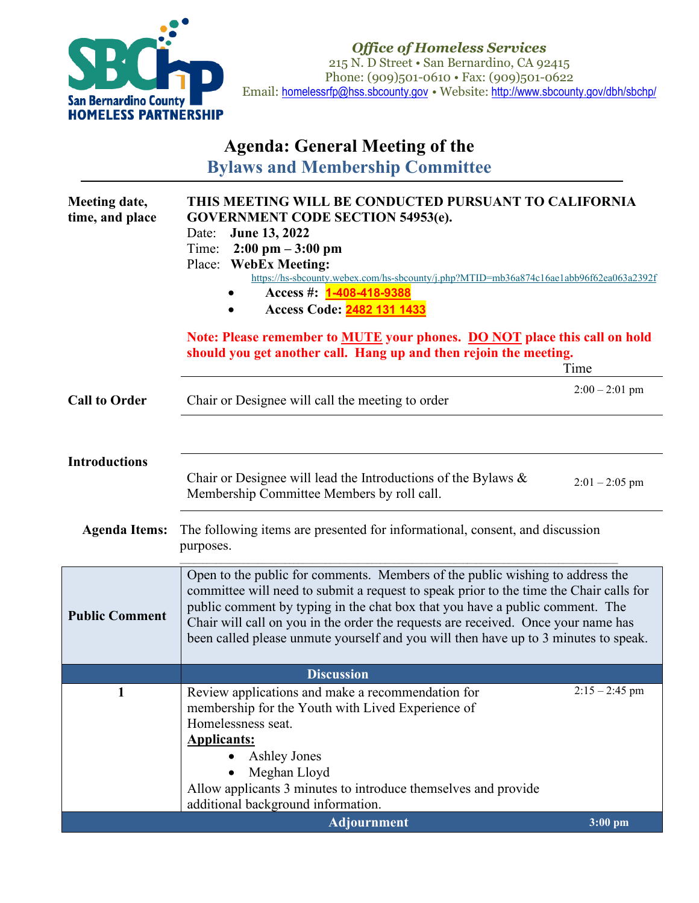

*Office of Homeless Services* 215 N. D Street • San Bernardino, CA 92415 Phone: (909)501-0610 • Fax: (909)501-0622 Email: [homelessrfp@hss.sbcounty.gov](mailto:homelessrfp@hss.sbcounty.gov%E2%80%A2) • Website: <http://www.sbcounty.gov/dbh/sbchp/>

## **Agenda: General Meeting of the**

**Bylaws and Membership Committee**

| Meeting date,<br>time, and place | THIS MEETING WILL BE CONDUCTED PURSUANT TO CALIFORNIA<br><b>GOVERNMENT CODE SECTION 54953(e).</b><br>June 13, 2022<br>Date:<br>$2:00 \text{ pm} - 3:00 \text{ pm}$<br>Time:<br>Place: WebEx Meeting:<br>https://hs-sbcounty.webex.com/hs-sbcounty/j.php?MTID=mb36a874c16ae1abb96f62ea063a2392f<br>Access #: <b>1-408-418-9388</b><br>Access Code: 2482 131 1433<br>Note: Please remember to <b>MUTE</b> your phones. <b>DO NOT</b> place this call on hold |                  |  |
|----------------------------------|------------------------------------------------------------------------------------------------------------------------------------------------------------------------------------------------------------------------------------------------------------------------------------------------------------------------------------------------------------------------------------------------------------------------------------------------------------|------------------|--|
|                                  | should you get another call. Hang up and then rejoin the meeting.                                                                                                                                                                                                                                                                                                                                                                                          | Time             |  |
| <b>Call to Order</b>             | Chair or Designee will call the meeting to order                                                                                                                                                                                                                                                                                                                                                                                                           | $2:00 - 2:01$ pm |  |
|                                  |                                                                                                                                                                                                                                                                                                                                                                                                                                                            |                  |  |
| <b>Introductions</b>             | Chair or Designee will lead the Introductions of the Bylaws $\&$<br>Membership Committee Members by roll call.                                                                                                                                                                                                                                                                                                                                             | $2:01 - 2:05$ pm |  |
| <b>Agenda Items:</b>             | The following items are presented for informational, consent, and discussion<br>purposes.                                                                                                                                                                                                                                                                                                                                                                  |                  |  |
| <b>Public Comment</b>            | Open to the public for comments. Members of the public wishing to address the<br>committee will need to submit a request to speak prior to the time the Chair calls for<br>public comment by typing in the chat box that you have a public comment. The<br>Chair will call on you in the order the requests are received. Once your name has<br>been called please unmute yourself and you will then have up to 3 minutes to speak.                        |                  |  |
|                                  | <b>Discussion</b>                                                                                                                                                                                                                                                                                                                                                                                                                                          |                  |  |
| 1                                | Review applications and make a recommendation for<br>membership for the Youth with Lived Experience of<br>Homelessness seat.<br><b>Applicants:</b><br><b>Ashley Jones</b><br>Meghan Lloyd<br>Allow applicants 3 minutes to introduce themselves and provide<br>additional background information.                                                                                                                                                          | $2:15 - 2:45$ pm |  |
|                                  | <b>Adjournment</b>                                                                                                                                                                                                                                                                                                                                                                                                                                         | $3:00$ pm        |  |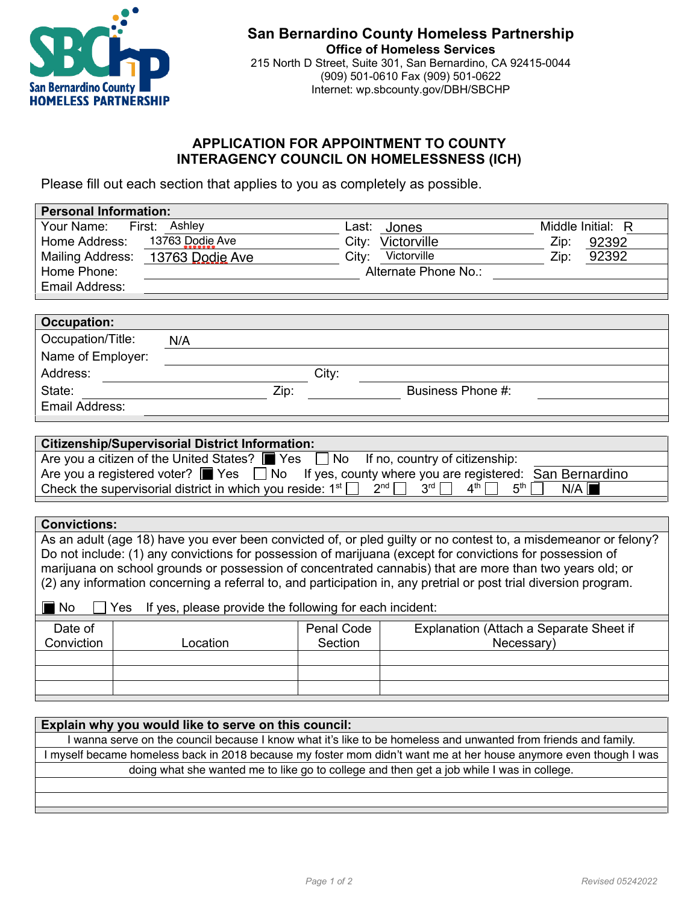

## **APPLICATION FOR APPOINTMENT TO COUNTY INTERAGENCY COUNCIL ON HOMELESSNESS (ICH)**

Please fill out each section that applies to you as completely as possible.

| <b>Personal Information:</b> |                                                                                                                                       |                 |                                         |                        |
|------------------------------|---------------------------------------------------------------------------------------------------------------------------------------|-----------------|-----------------------------------------|------------------------|
| Your Name:                   | First: Assthley                                                                                                                       | Last: Joboreess |                                         | Middle Initial: R      |
| Home Address:                | 13763 Dodie Ave                                                                                                                       |                 | City: Victorville                       | 92392<br>Zip:          |
| <b>Mailing Address:</b>      | 13763 Dodie Ave                                                                                                                       |                 | City: Wictorville                       | 92392<br>Zip:          |
| Home Phone:                  |                                                                                                                                       |                 | Alternate Phone No.:                    |                        |
| Email Address:               |                                                                                                                                       |                 |                                         |                        |
|                              |                                                                                                                                       |                 |                                         |                        |
| <b>Occupation:</b>           |                                                                                                                                       |                 |                                         |                        |
| Occupation/Title:            | <b>NNAA</b>                                                                                                                           |                 |                                         |                        |
| Name of Employer:            |                                                                                                                                       |                 |                                         |                        |
| Address:                     |                                                                                                                                       | City:           |                                         |                        |
| State:                       | Zip:                                                                                                                                  |                 | Business Phone #:                       |                        |
| Email Address:               |                                                                                                                                       |                 |                                         |                        |
|                              |                                                                                                                                       |                 |                                         |                        |
|                              | <b>Citizenship/Supervisorial District Information:</b>                                                                                |                 |                                         |                        |
|                              | Are you a citizen of the United States? $\blacksquare$ Yes $\Box$ No                                                                  |                 | If no, country of citizenship:          |                        |
|                              | Are you a registered voter? ■ Yes □ No If yes, county where you are registered: San Bernardino                                        |                 |                                         |                        |
|                              | Check the supervisorial district in which you reside: $1st$                                                                           | 2 <sup>nd</sup> | 3 <sup>rd</sup><br>$4^{\text{th}}$      | 5 <sup>th</sup><br>N/A |
|                              |                                                                                                                                       |                 |                                         |                        |
| <b>Convictions:</b>          |                                                                                                                                       |                 |                                         |                        |
|                              | As an adult (age 18) have you ever been convicted of, or pled guilty or no contest to, a misdemeanor or felony?                       |                 |                                         |                        |
|                              | Do not include: (1) any convictions for possession of marijuana (except for convictions for possession of                             |                 |                                         |                        |
|                              | marijuana on school grounds or possession of concentrated cannabis) that are more than two years old; or                              |                 |                                         |                        |
|                              | (2) any information concerning a referral to, and participation in, any pretrial or post trial diversion program.                     |                 |                                         |                        |
|                              |                                                                                                                                       |                 |                                         |                        |
| $\blacksquare$ No            | Yes If yes, please provide the following for each incident:                                                                           |                 |                                         |                        |
| Date of                      |                                                                                                                                       | Penal Code      | Explanation (Attach a Separate Sheet if |                        |
| Conviction                   | Location                                                                                                                              | Section         | Necessary)                              |                        |
|                              |                                                                                                                                       |                 |                                         |                        |
|                              |                                                                                                                                       |                 |                                         |                        |
|                              |                                                                                                                                       |                 |                                         |                        |
|                              |                                                                                                                                       |                 |                                         |                        |
|                              | Explain why you would like to serve on this council:                                                                                  |                 |                                         |                        |
|                              | wanhease averon on the council becaused know what hist likestike to be leas nedes overted framerited sfrom fariends an                |                 |                                         |                        |
|                              | hmysself bercama extraortrestetssc/bac20118 28da8 steerog ussem potrostien 'n vannt dielat hardroungea authere havers thangy nhores e |                 |                                         |                        |
|                              | doing when tysheat was the the like got doccollege and distinct the jobie virias invasiance of lege.                                  |                 |                                         |                        |

| LAPIGHT WITH YOU WOULD TING TO SET VE OIT LITIS COUTION.                                                                                                                                                                       |
|--------------------------------------------------------------------------------------------------------------------------------------------------------------------------------------------------------------------------------|
| wanheaseaveeron cherogonoil becaused knowwhathiat likestikke to to eleas mede savemed travisinted shout family                                                                                                                 |
| hmysself bercama evrophesiedsschach in Bedauserog usserm ofostich momt die lat herzhounee av here levers thangynhores d                                                                                                        |
| doing what the bushes to his dividend of the bushes of the bushes in the bushes in the bushes of the bushes of the bushes in the bushes of the bushes of the bushes in the bushes of the bushes of the bushes of the bushes of |
|                                                                                                                                                                                                                                |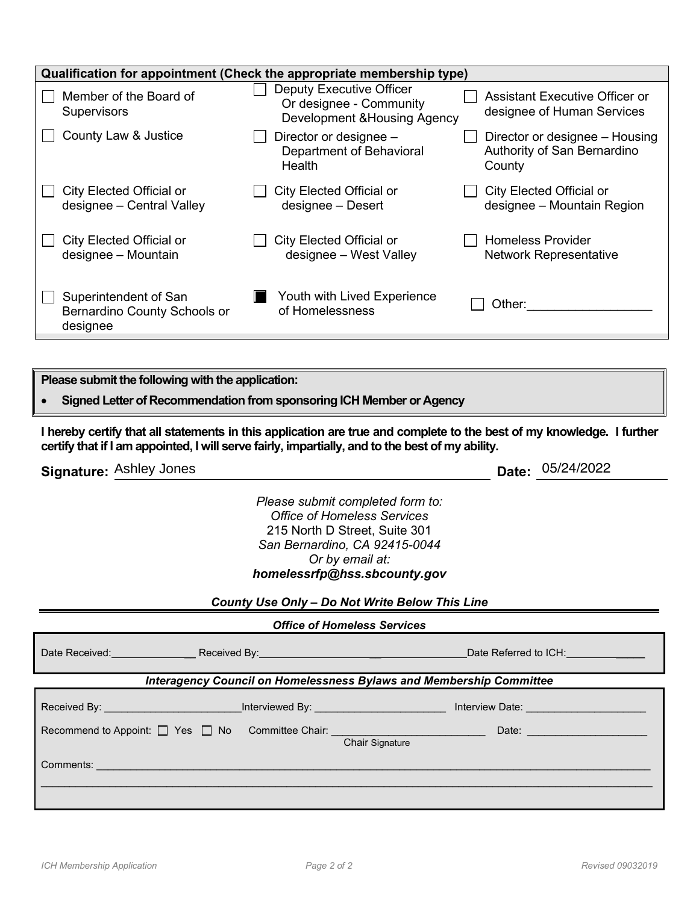|                                                                   | Qualification for appointment (Check the appropriate membership type)               |                                                                         |  |  |  |
|-------------------------------------------------------------------|-------------------------------------------------------------------------------------|-------------------------------------------------------------------------|--|--|--|
| Member of the Board of<br><b>Supervisors</b>                      | Deputy Executive Officer<br>Or designee - Community<br>Development & Housing Agency | Assistant Executive Officer or<br>designee of Human Services            |  |  |  |
| County Law & Justice                                              | Director or designee -<br>Department of Behavioral<br>Health                        | Director or designee - Housing<br>Authority of San Bernardino<br>County |  |  |  |
| City Elected Official or<br>designee - Central Valley             | City Elected Official or<br>designee - Desert                                       | City Elected Official or<br>designee - Mountain Region                  |  |  |  |
| <b>City Elected Official or</b><br>designee - Mountain            | City Elected Official or<br>designee - West Valley                                  | <b>Homeless Provider</b><br><b>Network Representative</b>               |  |  |  |
| Superintendent of San<br>Bernardino County Schools or<br>designee | Youth with Lived Experience<br>of Homelessness                                      | Other:                                                                  |  |  |  |
|                                                                   |                                                                                     |                                                                         |  |  |  |
| Please submit the following with the application:                 |                                                                                     |                                                                         |  |  |  |

• **Signed Letter of Recommendation from sponsoring ICH Member or Agency**

**I hereby certify that all statements in this application are true and complete to the best of my knowledge. I further certify that if I am appointed, I will serve fairly, impartially, and to the best of my ability.**

**Signature: Ashley Jones** 

Date: 055224220222

*Please submit completed form to: Office of Homeless Services* 215 North D Street, Suite 301 *San Bernardino, CA 92415-0044 Or by email at: homelessrfp@hss.sbcounty.gov*

*County Use Only – Do Not Write Below This Line*

| <b>Office of Homeless Services</b> |  |
|------------------------------------|--|
|                                    |  |

| Date Received: Received By: Neceived By: Neceived By: Network By: Neceived By:                                                                                                                                                 |                                                                            | Date Referred to ICH: Network and CH                                                                                                                                                                                                      |  |  |  |
|--------------------------------------------------------------------------------------------------------------------------------------------------------------------------------------------------------------------------------|----------------------------------------------------------------------------|-------------------------------------------------------------------------------------------------------------------------------------------------------------------------------------------------------------------------------------------|--|--|--|
|                                                                                                                                                                                                                                | <b>Interagency Council on Homelessness Bylaws and Membership Committee</b> |                                                                                                                                                                                                                                           |  |  |  |
| Received By: Network and Second Property and Second Property and Second Property and Second Property and Second Property and Second Property and Second Property and Second Property and Second Property and Second Property a |                                                                            | Interviewed By: New York Street, New York Street, New York Street, New York Street, New York Street, New York<br>Interview Date: <b>All and Street Article Street Article Street Article Street Article Street Article Street Article</b> |  |  |  |
| Recommend to Appoint: U Yes U No Committee Chair: U Committee Chair:                                                                                                                                                           |                                                                            | Date:<br>Chair Signature                                                                                                                                                                                                                  |  |  |  |
| Comments: 2008 - 2008 - 2008 - 2008 - 2019 - 2019 - 2019 - 2019 - 2019 - 2019 - 2019 - 2019 - 2019 - 2019 - 20                                                                                                                 |                                                                            |                                                                                                                                                                                                                                           |  |  |  |
|                                                                                                                                                                                                                                |                                                                            |                                                                                                                                                                                                                                           |  |  |  |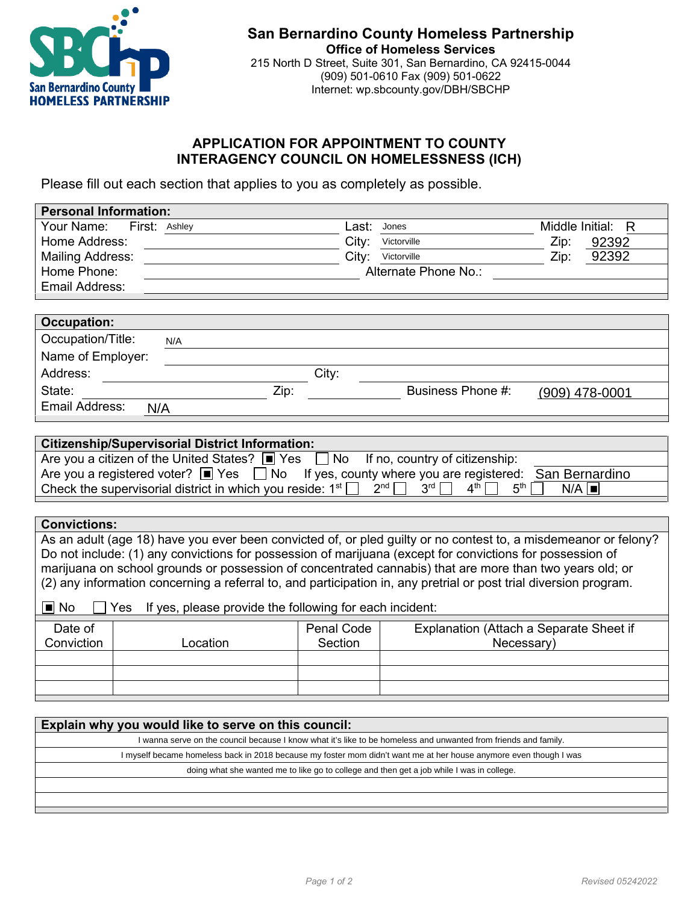

## **APPLICATION FOR APPOINTMENT TO COUNTY INTERAGENCY COUNCIL ON HOMELESSNESS (ICH)**

Please fill out each section that applies to you as completely as possible.

| <b>Personal Information:</b> |                                                 |       |                      |                      |
|------------------------------|-------------------------------------------------|-------|----------------------|----------------------|
| Your Name:<br>First: Ashley  |                                                 | Last: | Jones                | Middle Initial:<br>R |
| Home Address:                |                                                 | City: | Victorville          | Zip:<br>92392        |
| <b>Mailing Address:</b>      |                                                 | City: | Victorville          | 92392<br>Zip:        |
| Home Phone:                  |                                                 |       | Alternate Phone No.: |                      |
| Email Address:               |                                                 |       |                      |                      |
|                              |                                                 |       |                      |                      |
| <b>Occupation:</b>           |                                                 |       |                      |                      |
| Occupation/Title:            | N/A                                             |       |                      |                      |
| Name of Employer:            |                                                 |       |                      |                      |
| Address:                     |                                                 | City: |                      |                      |
| State:                       | Zip:                                            |       | Business Phone #:    |                      |
| <b>Email Address:</b>        |                                                 |       |                      |                      |
|                              |                                                 |       |                      |                      |
|                              | Citizenshin/Sunervisorial District Information: |       |                      |                      |

| <b>Citizenship/Supervisorial District Information:</b>                                                                                                        |
|---------------------------------------------------------------------------------------------------------------------------------------------------------------|
| Are you a citizen of the United States? $\boxed{\blacksquare}$ Yes $\boxed{\hspace{0.5cm}}$ No If no, country of citizenship:                                 |
| Are you a registered voter? $\Box$ Yes $\Box$ No If yes, county where you are registered: San Bernardino                                                      |
| Check the supervisorial district in which you reside: $1^{st}$ $\Box$ $2^{nd}$ $\Box$ $3^{rd}$ $\Box$ $4^{th}$ $\Box$ $5^{th}$ $\Box$<br>$N/A$ $\blacksquare$ |
|                                                                                                                                                               |

|                                                                         |                                                                                                                   |                 | Are you a registered voter? $\Box$ Yes $\Box$ No If yes, county where you are registered: San Bernardino                                                                                                                                                                                                                                                                                                                                                      |  |  |
|-------------------------------------------------------------------------|-------------------------------------------------------------------------------------------------------------------|-----------------|---------------------------------------------------------------------------------------------------------------------------------------------------------------------------------------------------------------------------------------------------------------------------------------------------------------------------------------------------------------------------------------------------------------------------------------------------------------|--|--|
|                                                                         | Check the supervisorial district in which you reside: $1st$                                                       | 2 <sup>nd</sup> | 3 <sup>rd</sup><br>4 <sup>th</sup><br>5 <sup>th</sup><br>$N/A$ $\blacksquare$                                                                                                                                                                                                                                                                                                                                                                                 |  |  |
|                                                                         |                                                                                                                   |                 |                                                                                                                                                                                                                                                                                                                                                                                                                                                               |  |  |
| <b>Convictions:</b>                                                     |                                                                                                                   |                 |                                                                                                                                                                                                                                                                                                                                                                                                                                                               |  |  |
| i∎j No                                                                  | If yes, please provide the following for each incident:<br>Yes.                                                   |                 | As an adult (age 18) have you ever been convicted of, or pled guilty or no contest to, a misdemeanor or felony?<br>Do not include: (1) any convictions for possession of marijuana (except for convictions for possession of<br>marijuana on school grounds or possession of concentrated cannabis) that are more than two years old; or<br>(2) any information concerning a referral to, and participation in, any pretrial or post trial diversion program. |  |  |
| <b>Penal Code</b><br>Date of<br>Explanation (Attach a Separate Sheet if |                                                                                                                   |                 |                                                                                                                                                                                                                                                                                                                                                                                                                                                               |  |  |
| Conviction                                                              | Location                                                                                                          | Section         | Necessary)                                                                                                                                                                                                                                                                                                                                                                                                                                                    |  |  |
|                                                                         |                                                                                                                   |                 |                                                                                                                                                                                                                                                                                                                                                                                                                                                               |  |  |
|                                                                         |                                                                                                                   |                 |                                                                                                                                                                                                                                                                                                                                                                                                                                                               |  |  |
|                                                                         |                                                                                                                   |                 |                                                                                                                                                                                                                                                                                                                                                                                                                                                               |  |  |
|                                                                         |                                                                                                                   |                 |                                                                                                                                                                                                                                                                                                                                                                                                                                                               |  |  |
|                                                                         | Explain why you would like to serve on this council:                                                              |                 |                                                                                                                                                                                                                                                                                                                                                                                                                                                               |  |  |
|                                                                         |                                                                                                                   |                 | I wanna serve on the council because I know what it's like to be homeless and unwanted from friends and family.                                                                                                                                                                                                                                                                                                                                               |  |  |
|                                                                         | I myself became homeless back in 2018 because my foster mom didn't want me at her house anymore even though I was |                 |                                                                                                                                                                                                                                                                                                                                                                                                                                                               |  |  |
|                                                                         |                                                                                                                   |                 | doing what she wanted me to like go to college and then get a job while I was in college.                                                                                                                                                                                                                                                                                                                                                                     |  |  |

| Explain why you would like to serve on this council:                                                              |
|-------------------------------------------------------------------------------------------------------------------|
| I wanna serve on the council because I know what it's like to be homeless and unwanted from friends and family.   |
| I myself became homeless back in 2018 because my foster mom didn't want me at her house anymore even though I was |
| doing what she wanted me to like go to college and then get a job while I was in college.                         |
|                                                                                                                   |
|                                                                                                                   |
|                                                                                                                   |